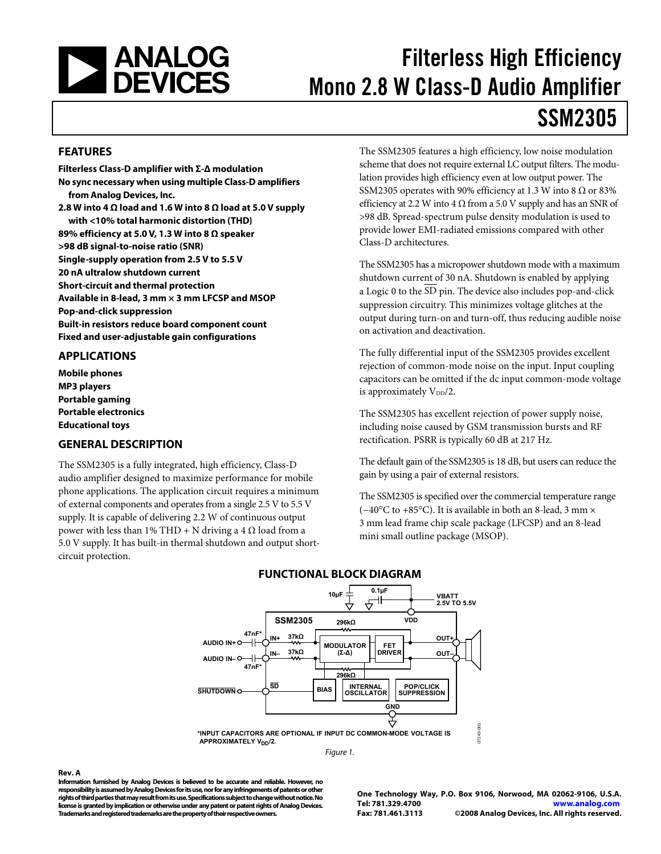<span id="page-0-0"></span>

# Filterless High Efficiency Mono 2.8 W Class-D Audio Amplifier SSM2305

#### **FEATURES**

**Filterless Class-D amplifier with Σ-Δ modulation No sync necessary when using multiple Class-D amplifiers from Analog Devices, Inc. 2.8 W into 4 Ω load and 1.6 W into 8 Ω load at 5.0 V supply with <10% total harmonic distortion (THD) 89% efficiency at 5.0 V, 1.3 W into 8 Ω speaker >98 dB signal-to-noise ratio (SNR) Single-supply operation from 2.5 V to 5.5 V 20 nA ultralow shutdown current Short-circuit and thermal protection Available in 8-lead, 3 mm × 3 mm LFCSP and MSOP Pop-and-click suppression Built-in resistors reduce board component count Fixed and user-adjustable gain configurations** 

#### **APPLICATIONS**

**Mobile phones MP3 players Portable gaming Portable electronics Educational toys** 

**Rev. A** 

### **GENERAL DESCRIPTION**

The SSM2305 is a fully integrated, high efficiency, Class-D audio amplifier designed to maximize performance for mobile phone applications. The application circuit requires a minimum of external components and operates from a single 2.5 V to 5.5 V supply. It is capable of delivering 2.2 W of continuous output power with less than 1% THD + N driving a 4  $\Omega$  load from a 5.0 V supply. It has built-in thermal shutdown and output shortcircuit protection.

The SSM2305 features a high efficiency, low noise modulation scheme that does not require external LC output filters. The modulation provides high efficiency even at low output power. The SSM2305 operates with 90% efficiency at 1.3 W into 8  $\Omega$  or 83% efficiency at 2.2 W into 4  $\Omega$  from a 5.0 V supply and has an SNR of >98 dB. Spread-spectrum pulse density modulation is used to provide lower EMI-radiated emissions compared with other Class-D architectures.

The SSM2305 has a micropower shutdown mode with a maximum shutdown current of 30 nA. Shutdown is enabled by applying a Logic 0 to the  $\overline{\text{SD}}$  pin. The device also includes pop-and-click suppression circuitry. This minimizes voltage glitches at the output during turn-on and turn-off, thus reducing audible noise on activation and deactivation.

The fully differential input of the SSM2305 provides excellent rejection of common-mode noise on the input. Input coupling capacitors can be omitted if the dc input common-mode voltage is approximately  $V_{DD}/2$ .

The SSM2305 has excellent rejection of power supply noise, including noise caused by GSM transmission bursts and RF rectification. PSRR is typically 60 dB at 217 Hz.

The default gain of the SSM2305 is 18 dB, but users can reduce the gain by using a pair of external resistors.

The SSM2305 is specified over the commercial temperature range (−40°C to +85°C). It is available in both an 8-lead, 3 mm × 3 mm lead frame chip scale package (LFCSP) and an 8-lead mini small outline package (MSOP).



Figure 1.



**Information furnished by Analog Devices is believed to be accurate and reliable. However, no responsibility is assumed by Analog Devices for its use, nor for any infringements of patents or other rights of third parties that may result from its use. Specifications subject to change without notice. No license is granted by implication or otherwise under any patent or patent rights of Analog Devices. Trademarks and registered trademarks are the property of their respective owners.** 

**One Technology Way, P.O. Box 9106, Norwood, MA 02062-9106, U.S.A. Tel: 781.329.4700 www.analog.com Fax: 781.461.3113 ©2008 Analog Devices, Inc. All rights reserved.**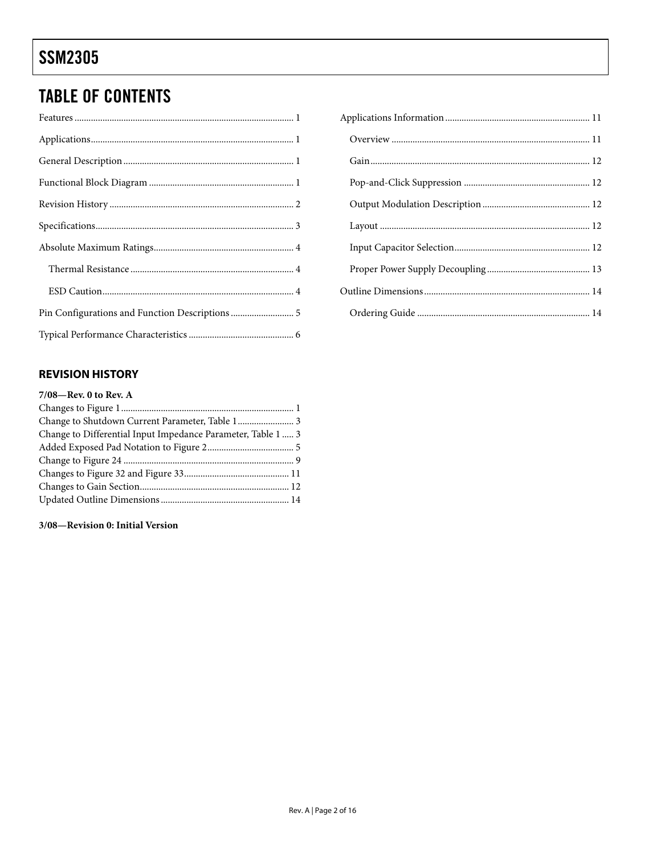# <span id="page-1-0"></span>**TABLE OF CONTENTS**

| Pin Configurations and Function Descriptions  5 |
|-------------------------------------------------|
|                                                 |

### **REVISION HISTORY**

| $7/08$ —Rev. 0 to Rev. A                                     |  |
|--------------------------------------------------------------|--|
|                                                              |  |
|                                                              |  |
| Change to Differential Input Impedance Parameter, Table 1  3 |  |
|                                                              |  |
|                                                              |  |
|                                                              |  |
|                                                              |  |
|                                                              |  |
|                                                              |  |

### 3/08-Revision 0: Initial Version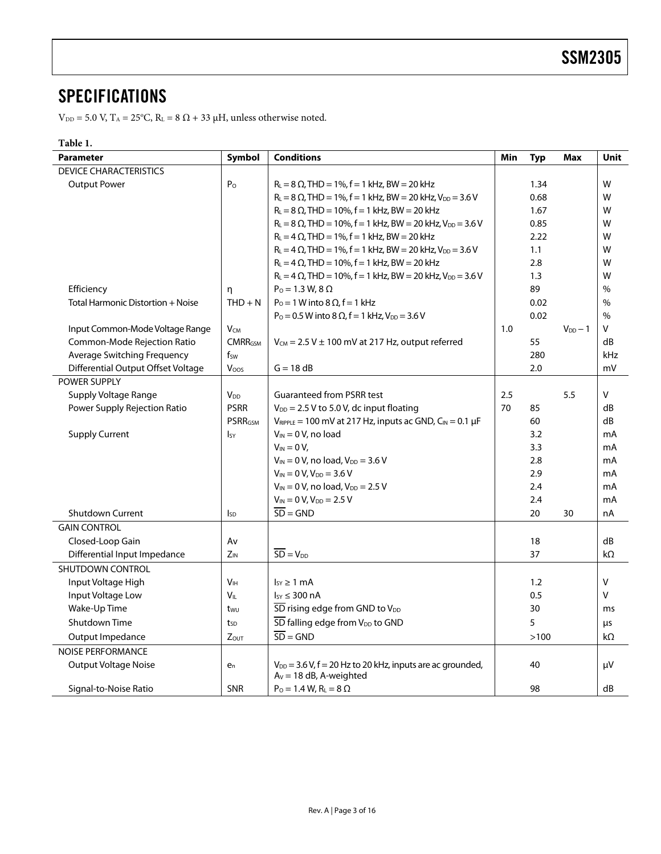### <span id="page-2-0"></span>**SPECIFICATIONS**

 $V_{DD} = 5.0$  V,  $T_A = 25^{\circ}C$ ,  $R_L = 8 \Omega + 33 \mu H$ , unless otherwise noted.

### **Table 1.**

| <b>Parameter</b>                   | Symbol          | <b>Conditions</b>                                                      | Min | <b>Typ</b> | <b>Max</b>   | <b>Unit</b>  |
|------------------------------------|-----------------|------------------------------------------------------------------------|-----|------------|--------------|--------------|
| <b>DEVICE CHARACTERISTICS</b>      |                 |                                                                        |     |            |              |              |
| <b>Output Power</b>                | P <sub>o</sub>  | $R_L = 8 \Omega$ , THD = 1%, f = 1 kHz, BW = 20 kHz                    |     | 1.34       |              | W            |
|                                    |                 | $R_1 = 8 \Omega$ , THD = 1%, f = 1 kHz, BW = 20 kHz, $V_{DD} = 3.6 V$  |     | 0.68       |              | W            |
|                                    |                 | $R_L = 8 \Omega$ , THD = 10%, f = 1 kHz, BW = 20 kHz                   |     | 1.67       |              | W            |
|                                    |                 | $R_L = 8 \Omega$ , THD = 10%, f = 1 kHz, BW = 20 kHz, $V_{DD} = 3.6 V$ |     | 0.85       |              | W            |
|                                    |                 | $R_L = 4 \Omega$ , THD = 1%, f = 1 kHz, BW = 20 kHz                    |     | 2.22       |              | W            |
|                                    |                 | $R_L = 4 \Omega$ , THD = 1%, f = 1 kHz, BW = 20 kHz, $V_{DD} = 3.6 V$  |     | 1.1        |              | W            |
|                                    |                 | $R_L = 4 \Omega$ , THD = 10%, f = 1 kHz, BW = 20 kHz                   |     | 2.8        |              | W            |
|                                    |                 | $R_L = 4 \Omega$ , THD = 10%, f = 1 kHz, BW = 20 kHz, $V_{DD} = 3.6 V$ |     | 1.3        |              | W            |
| Efficiency                         | η               | $P_0 = 1.3 W, 8 \Omega$                                                |     | 89         |              | $\%$         |
| Total Harmonic Distortion + Noise  | $THD + N$       | $P_0 = 1$ W into 8 $\Omega$ , f = 1 kHz                                |     | 0.02       |              | $\%$         |
|                                    |                 | $P_0 = 0.5$ W into 8 $\Omega$ , f = 1 kHz, $V_{DD} = 3.6$ V            |     | 0.02       |              | $\%$         |
| Input Common-Mode Voltage Range    | $V_{CM}$        |                                                                        | 1.0 |            | $V_{DD} - 1$ | v            |
| Common-Mode Rejection Ratio        | <b>CMRRGSM</b>  | $V_{CM}$ = 2.5 V $\pm$ 100 mV at 217 Hz, output referred               |     | 55         |              | dB           |
| Average Switching Frequency        | $f_{SW}$        |                                                                        |     | 280        |              | kHz          |
| Differential Output Offset Voltage | Voos            | $G = 18 dB$                                                            |     | 2.0        |              | mV           |
| POWER SUPPLY                       |                 |                                                                        |     |            |              |              |
| Supply Voltage Range               | $V_{DD}$        | <b>Guaranteed from PSRR test</b>                                       | 2.5 |            | 5.5          | $\mathsf{V}$ |
| Power Supply Rejection Ratio       | <b>PSRR</b>     | $V_{DD}$ = 2.5 V to 5.0 V, dc input floating                           | 70  | 85         |              | dB           |
|                                    | <b>PSRRGSM</b>  | $V_{RIPPLE}$ = 100 mV at 217 Hz, inputs ac GND, $C_{IN}$ = 0.1 µF      |     | 60         |              | dB           |
| <b>Supply Current</b>              | $I_{SV}$        | $V_{IN} = 0 V$ , no load                                               |     | 3.2        |              | mA           |
|                                    |                 | $V_{IN} = 0 V$ ,                                                       |     | 3.3        |              | mA           |
|                                    |                 | $V_{IN} = 0 V$ , no load, $V_{DD} = 3.6 V$                             |     | 2.8        |              | mA           |
|                                    |                 | $V_{IN} = 0 V, V_{DD} = 3.6 V$                                         |     | 2.9        |              | mA           |
|                                    |                 | $V_{IN} = 0 V$ , no load, $V_{DD} = 2.5 V$                             |     | 2.4        |              | mA           |
|                                    |                 | $V_{IN} = 0 V, V_{DD} = 2.5 V$                                         |     | 2.4        |              | mA           |
| <b>Shutdown Current</b>            | <b>I</b> sp     | $\overline{SD} = GND$                                                  |     | 20         | 30           | nA           |
| <b>GAIN CONTROL</b>                |                 |                                                                        |     |            |              |              |
| Closed-Loop Gain                   | Av              |                                                                        |     | 18         |              | dB           |
| Differential Input Impedance       | $Z_{IN}$        | $\overline{SD} = V_{DD}$                                               |     | 37         |              | kΩ           |
| SHUTDOWN CONTROL                   |                 |                                                                        |     |            |              |              |
| Input Voltage High                 | V <sub>IH</sub> | $I_{SY} \geq 1$ mA                                                     |     | 1.2        |              | v            |
| Input Voltage Low                  | $V_{IL}$        | $I_{SY} \leq 300 \text{ nA}$                                           |     | 0.5        |              | $\vee$       |
| Wake-Up Time                       | t <sub>wu</sub> | SD rising edge from GND to V <sub>DD</sub>                             |     | 30         |              | ms           |
| Shutdown Time                      | tsp             | SD falling edge from V <sub>DD</sub> to GND                            |     | 5          |              | μs           |
| Output Impedance                   | <b>Zout</b>     | $\overline{SD}$ = GND                                                  |     | >100       |              | kΩ           |
| <b>NOISE PERFORMANCE</b>           |                 |                                                                        |     |            |              |              |
| Output Voltage Noise               | $e_n$           | $V_{DD}$ = 3.6 V, f = 20 Hz to 20 kHz, inputs are ac grounded,         |     | 40         |              | μV           |
| Signal-to-Noise Ratio              | <b>SNR</b>      | $A_V = 18$ dB, A-weighted<br>$P_0 = 1.4 W$ , $R_L = 8 \Omega$          |     | 98         |              | dB           |
|                                    |                 |                                                                        |     |            |              |              |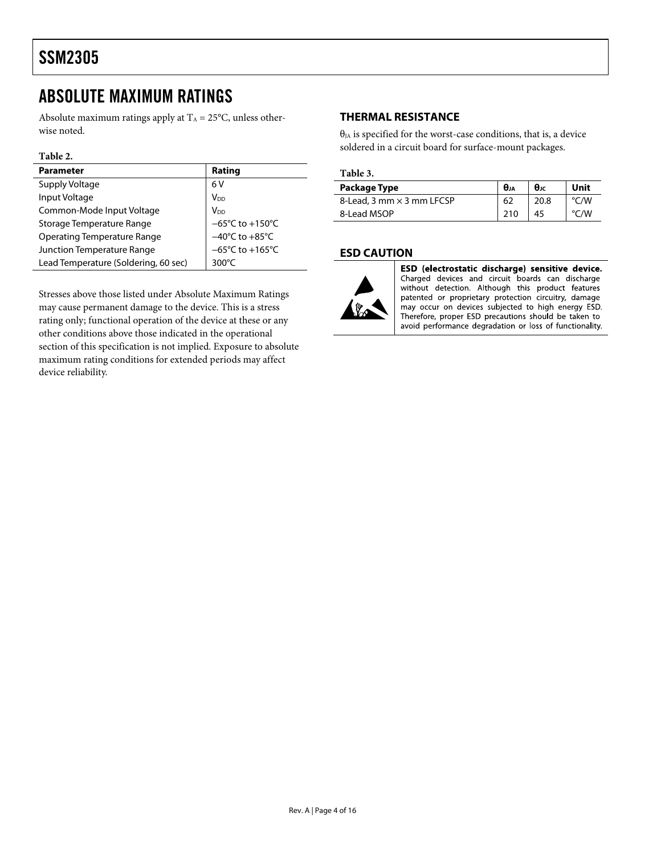### <span id="page-3-0"></span>ABSOLUTE MAXIMUM RATINGS

Absolute maximum ratings apply at  $T_A = 25^{\circ}C$ , unless otherwise noted.

#### **Table 2.**

| <b>Parameter</b>                     | Rating                               |
|--------------------------------------|--------------------------------------|
| Supply Voltage                       | 6V                                   |
| Input Voltage                        | V <sub>DD</sub>                      |
| Common-Mode Input Voltage            | V <sub>DD</sub>                      |
| Storage Temperature Range            | $-65^{\circ}$ C to +150 $^{\circ}$ C |
| <b>Operating Temperature Range</b>   | $-40^{\circ}$ C to $+85^{\circ}$ C   |
| Junction Temperature Range           | $-65^{\circ}$ C to +165 $^{\circ}$ C |
| Lead Temperature (Soldering, 60 sec) | $300^{\circ}$ C                      |

Stresses above those listed under Absolute Maximum Ratings may cause permanent damage to the device. This is a stress rating only; functional operation of the device at these or any other conditions above those indicated in the operational section of this specification is not implied. Exposure to absolute maximum rating conditions for extended periods may affect device reliability.

### **THERMAL RESISTANCE**

 $\theta_{JA}$  is specified for the worst-case conditions, that is, a device soldered in a circuit board for surface-mount packages.

#### **Table 3.**

| Package Type                     | $\theta_{JA}$ | $\theta_{\rm JC}$ | Unit |
|----------------------------------|---------------|-------------------|------|
| 8-Lead, 3 mm $\times$ 3 mm LFCSP | 62            | 20.8              | °C/W |
| 8-Lead MSOP                      |               | 45                | ⊤/W  |

#### **ESD CAUTION**



ESD (electrostatic discharge) sensitive device. Charged devices and circuit boards can discharge without detection. Although this product features patented or proprietary protection circuitry, damage may occur on devices subjected to high energy ESD. Therefore, proper ESD precautions should be taken to avoid performance degradation or loss of functionality.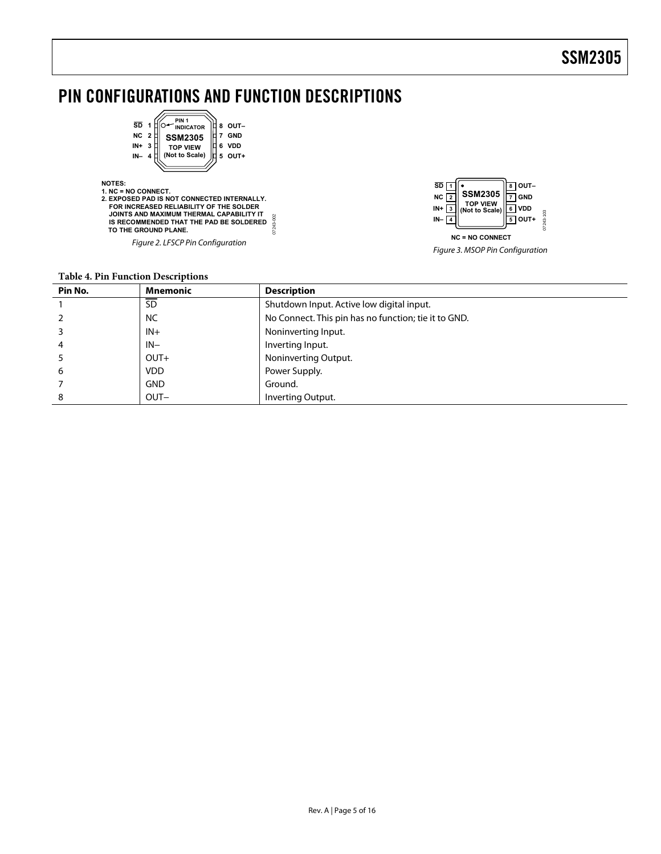### <span id="page-4-0"></span>PIN CONFIGURATIONS AND FUNCTION DESCRIPTIONS



**NOTES: 1. NC = NO CONNECT. 2. EXPOSED PAD IS NOT CONNECTED INTERNALLY. FOR INCREASED RELIABILITY OF THE SOLDER JOINTS AND MAXIMUM THERMAL CAPABILITY IT** 07243-002 07243-002  **IS RECOMMENDED THAT THE PAD BE SOLDERED TO THE GROUND PLANE.**

Figure 2. LFSCP Pin Configuration



Figure 3. MSOP Pin Configuration

#### **Table 4. Pin Function Descriptions**

| Pin No. | <b>Mnemonic</b> | <b>Description</b>                                   |
|---------|-----------------|------------------------------------------------------|
|         | SD              | Shutdown Input. Active low digital input.            |
|         | <b>NC</b>       | No Connect. This pin has no function; tie it to GND. |
|         | $IN+$           | Noninverting Input.                                  |
| 4       | $IN-$           | Inverting Input.                                     |
|         | $OUT+$          | Noninverting Output.                                 |
| 6       | <b>VDD</b>      | Power Supply.                                        |
|         | <b>GND</b>      | Ground.                                              |
| 8       | OUT-            | Inverting Output.                                    |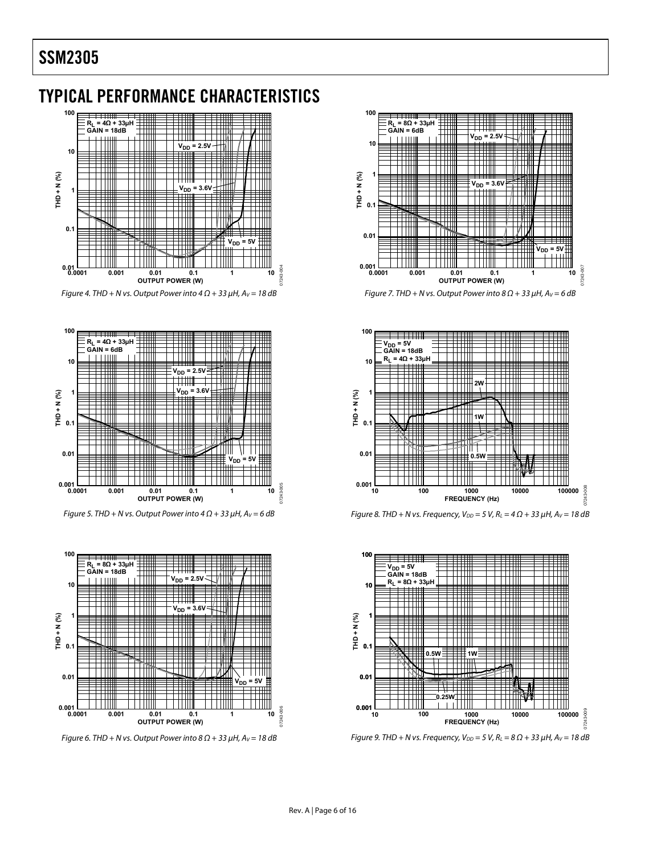### <span id="page-5-0"></span>TYPICAL PERFORMANCE CHARACTERISTICS



Figure 4. THD + N vs. Output Power into  $4 \Omega$  + 33  $\mu$ H, A<sub>V</sub> = 18 dB



Figure 5. THD + N vs. Output Power into  $4 \Omega$  + 33  $\mu$ H, A<sub>V</sub> = 6 dB



Figure 6. THD + N vs. Output Power into  $8 \Omega$  + 33  $\mu$ H, A<sub>V</sub> = 18 dB



Figure 7. THD + N vs. Output Power into  $8 \Omega$  + 33  $\mu$ H, A<sub>V</sub> = 6 dB







Figure 9. THD + N vs. Frequency,  $V_{DD} = 5$  V,  $R_L = 8 \Omega + 33 \mu$ H,  $A_V = 18$  dB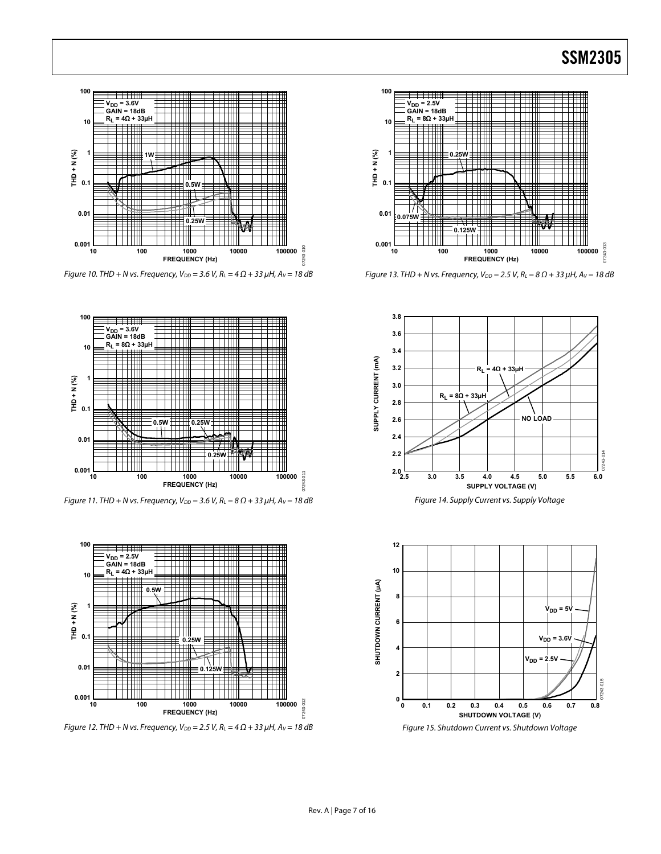

Figure 10. THD + N vs. Frequency,  $V_{DD} = 3.6$  V,  $R_L = 4 \Omega + 33 \mu$ H,  $A_V = 18$  dB



Figure 11. THD + N vs. Frequency,  $V_{DD} = 3.6$  V,  $R_L = 8 \Omega + 33 \mu$ H,  $A_V = 18$  dB



Figure 12. THD + N vs. Frequency,  $V_{DD} = 2.5$  V,  $R_L = 4 \Omega + 33 \mu$ H,  $A_V = 18 \text{ dB}$ 



Figure 13. THD + N vs. Frequency,  $V_{DD} = 2.5 V$ ,  $R_L = 8 \Omega + 33 \mu H$ ,  $A_V = 18 dB$ 



Figure 14. Supply Current vs. Supply Voltage



Figure 15. Shutdown Current vs. Shutdown Voltage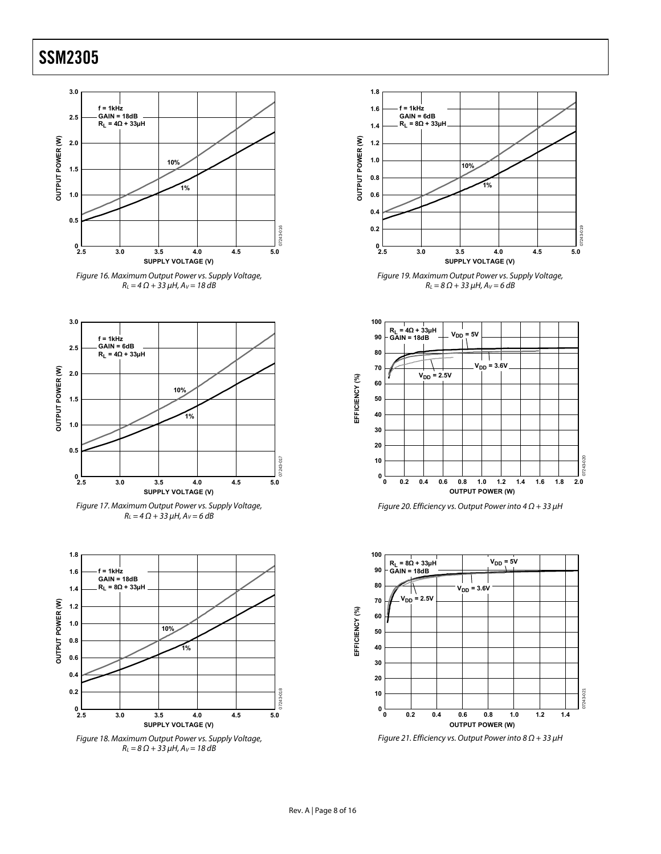













Figure 19. Maximum Output Power vs. Supply Voltage,  $R_{L} = 8 \Omega + 33 \mu H$ ,  $A_{V} = 6 dB$ 







Figure 21. Efficiency vs. Output Power into  $8 \Omega + 33 \mu$ H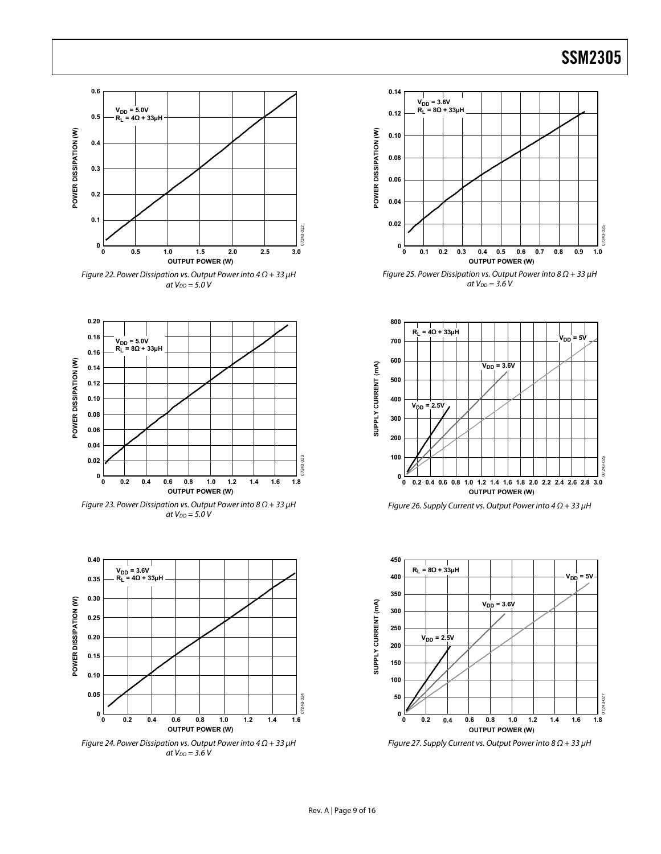

Figure 22. Power Dissipation vs. Output Power into  $4 \Omega + 33 \mu$ H at  $V_{DD} = 5.0 V$ 



Figure 23. Power Dissipation vs. Output Power into  $8 \Omega + 33 \mu$ H at  $V_{DD} = 5.0 V$ 



Figure 24. Power Dissipation vs. Output Power into  $4 \Omega + 33 \mu$ H at  $V_{DD} = 3.6 V$ 



Figure 25. Power Dissipation vs. Output Power into  $8 \Omega + 33 \mu$ H at  $V_{DD} = 3.6 V$ 



Figure 26. Supply Current vs. Output Power into  $4 \Omega + 33 \mu$ H



Figure 27. Supply Current vs. Output Power into  $8 \Omega + 33 \mu$ H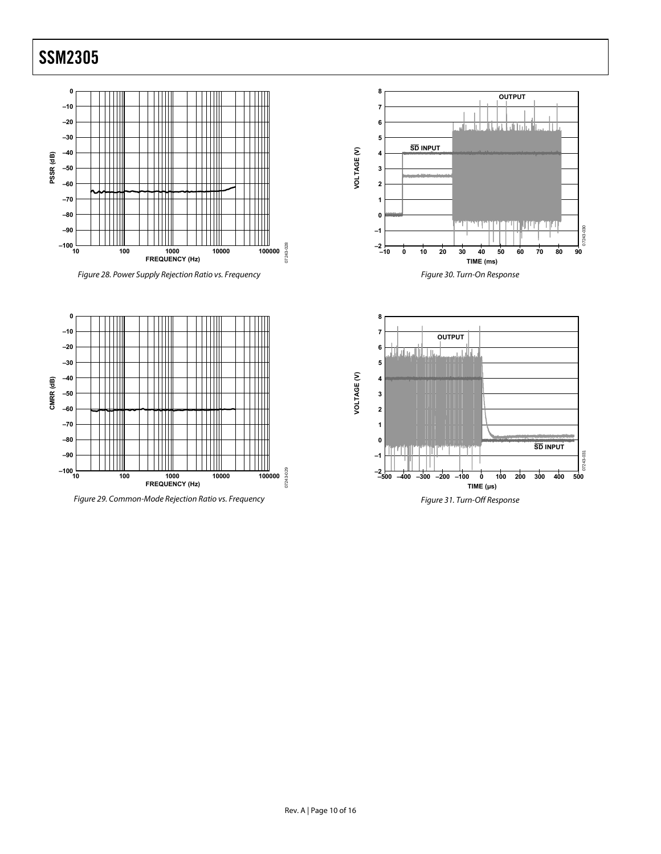







**8 OUTPUT 7 6** <u>n Labor Rohl o Indo H</u> ...II.L **5 SD INPUT** VOLTAGE (V) **VOLTAGE (V) 4 3** والمتعاصر ومعاملته **2 1 0** للأريق بالأزل بالتنافين ويدرجهم  $030$ **–1** 07243-030 0724 **–2 –10 0 10 20 30 40 50 60 70 80 90 TIME (ms)** Figure 30. Turn-On Response

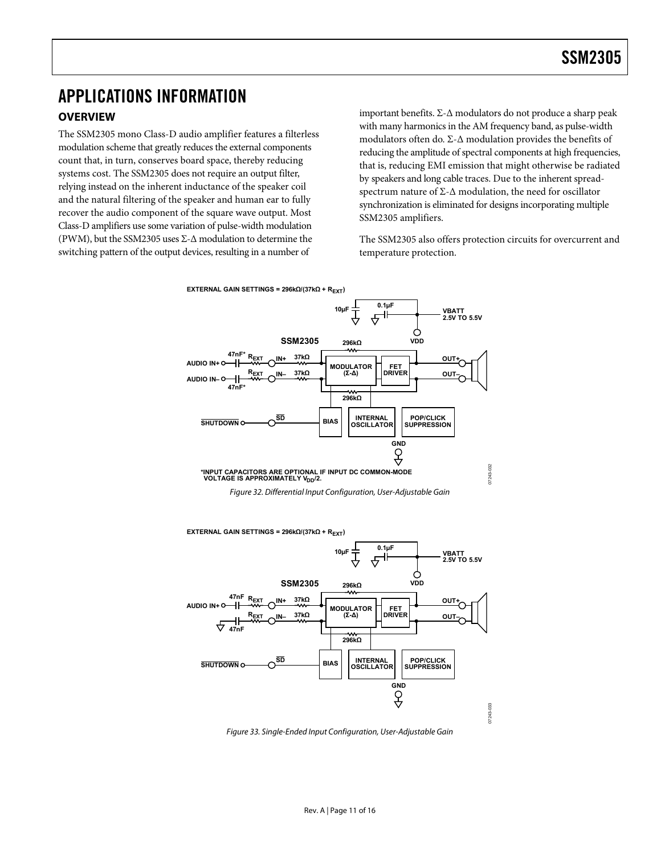# <span id="page-10-0"></span>APPLICATIONS INFORMATION

### **OVERVIEW**

The SSM2305 mono Class-D audio amplifier features a filterless modulation scheme that greatly reduces the external components count that, in turn, conserves board space, thereby reducing systems cost. The SSM2305 does not require an output filter, relying instead on the inherent inductance of the speaker coil and the natural filtering of the speaker and human ear to fully recover the audio component of the square wave output. Most Class-D amplifiers use some variation of pulse-width modulation (PWM), but the SSM2305 uses Σ-Δ modulation to determine the switching pattern of the output devices, resulting in a number of

important benefits. Σ-Δ modulators do not produce a sharp peak with many harmonics in the AM frequency band, as pulse-width modulators often do. Σ-Δ modulation provides the benefits of reducing the amplitude of spectral components at high frequencies, that is, reducing EMI emission that might otherwise be radiated by speakers and long cable traces. Due to the inherent spreadspectrum nature of Σ-Δ modulation, the need for oscillator synchronization is eliminated for designs incorporating multiple SSM2305 amplifiers.

The SSM2305 also offers protection circuits for overcurrent and temperature protection.





Figure 33. Single-Ended Input Configuration, User-Adjustable Gain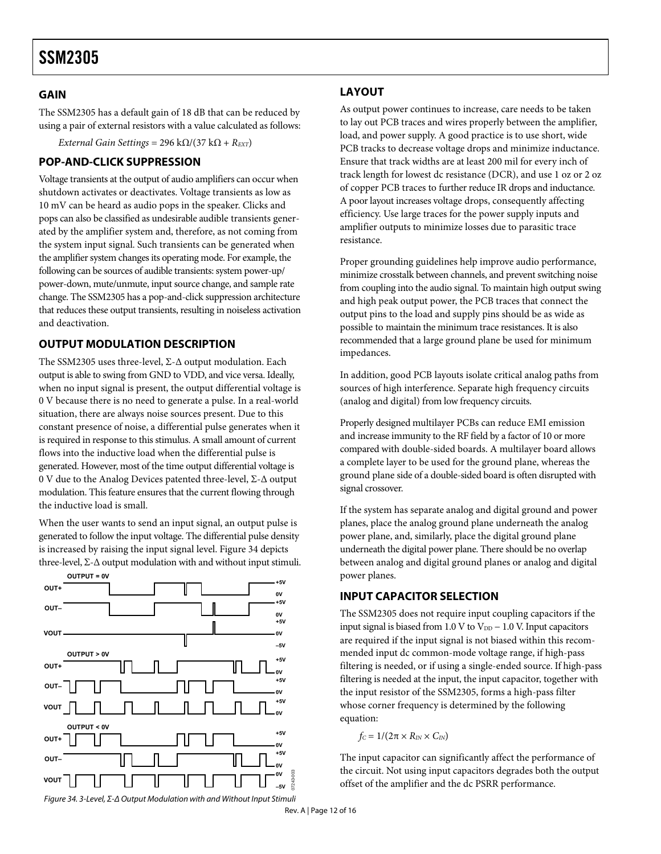### <span id="page-11-0"></span>**GAIN**

The SSM2305 has a default gain of 18 dB that can be reduced by using a pair of external resistors with a value calculated as follows:

*External Gain Settings* =  $296 \text{ k}\Omega/(37 \text{ k}\Omega + R_{\text{EXT}})$ 

### **POP-AND-CLICK SUPPRESSION**

Voltage transients at the output of audio amplifiers can occur when shutdown activates or deactivates. Voltage transients as low as 10 mV can be heard as audio pops in the speaker. Clicks and pops can also be classified as undesirable audible transients generated by the amplifier system and, therefore, as not coming from the system input signal. Such transients can be generated when the amplifier system changes its operating mode. For example, the following can be sources of audible transients: system power-up/ power-down, mute/unmute, input source change, and sample rate change. The SSM2305 has a pop-and-click suppression architecture that reduces these output transients, resulting in noiseless activation and deactivation.

### **OUTPUT MODULATION DESCRIPTION**

The SSM2305 uses three-level, Σ-Δ output modulation. Each output is able to swing from GND to VDD, and vice versa. Ideally, when no input signal is present, the output differential voltage is 0 V because there is no need to generate a pulse. In a real-world situation, there are always noise sources present. Due to this constant presence of noise, a differential pulse generates when it is required in response to this stimulus. A small amount of current flows into the inductive load when the differential pulse is generated. However, most of the time output differential voltage is 0 V due to the Analog Devices patented three-level, Σ-Δ output modulation. This feature ensures that the current flowing through the inductive load is small.

When the user wants to send an input signal, an output pulse is generated to follow the input voltage. The differential pulse density is increased by raising the input signal level. [Figure 34](#page-11-1) depicts three-level,  $\Sigma$ - $\Delta$  output modulation with and without input stimuli.

<span id="page-11-1"></span>

### **LAYOUT**

As output power continues to increase, care needs to be taken to lay out PCB traces and wires properly between the amplifier, load, and power supply. A good practice is to use short, wide PCB tracks to decrease voltage drops and minimize inductance. Ensure that track widths are at least 200 mil for every inch of track length for lowest dc resistance (DCR), and use 1 oz or 2 oz of copper PCB traces to further reduce IR drops and inductance. A poor layout increases voltage drops, consequently affecting efficiency. Use large traces for the power supply inputs and amplifier outputs to minimize losses due to parasitic trace resistance.

Proper grounding guidelines help improve audio performance, minimize crosstalk between channels, and prevent switching noise from coupling into the audio signal. To maintain high output swing and high peak output power, the PCB traces that connect the output pins to the load and supply pins should be as wide as possible to maintain the minimum trace resistances. It is also recommended that a large ground plane be used for minimum impedances.

In addition, good PCB layouts isolate critical analog paths from sources of high interference. Separate high frequency circuits (analog and digital) from low frequency circuits.

Properly designed multilayer PCBs can reduce EMI emission and increase immunity to the RF field by a factor of 10 or more compared with double-sided boards. A multilayer board allows a complete layer to be used for the ground plane, whereas the ground plane side of a double-sided board is often disrupted with signal crossover.

If the system has separate analog and digital ground and power planes, place the analog ground plane underneath the analog power plane, and, similarly, place the digital ground plane underneath the digital power plane. There should be no overlap between analog and digital ground planes or analog and digital power planes.

### **INPUT CAPACITOR SELECTION**

The SSM2305 does not require input coupling capacitors if the input signal is biased from 1.0 V to  $V_{DD}$  – 1.0 V. Input capacitors are required if the input signal is not biased within this recommended input dc common-mode voltage range, if high-pass filtering is needed, or if using a single-ended source. If high-pass filtering is needed at the input, the input capacitor, together with the input resistor of the SSM2305, forms a high-pass filter whose corner frequency is determined by the following equation:

 $f_C = 1/(2\pi \times R_{IN} \times C_{IN})$ 

The input capacitor can significantly affect the performance of the circuit. Not using input capacitors degrades both the output offset of the amplifier and the dc PSRR performance.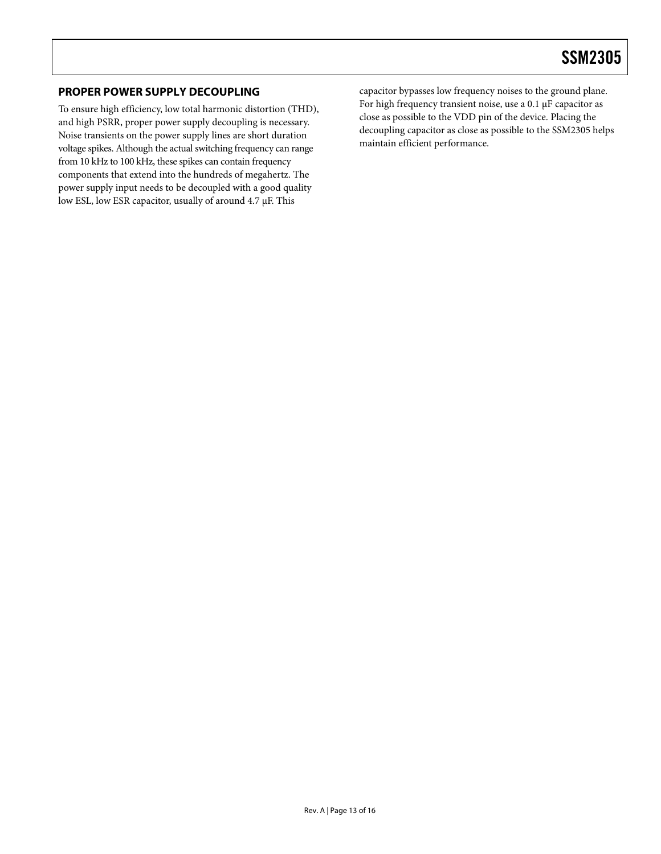### <span id="page-12-0"></span>**PROPER POWER SUPPLY DECOUPLING**

To ensure high efficiency, low total harmonic distortion (THD), and high PSRR, proper power supply decoupling is necessary. Noise transients on the power supply lines are short duration voltage spikes. Although the actual switching frequency can range from 10 kHz to 100 kHz, these spikes can contain frequency components that extend into the hundreds of megahertz. The power supply input needs to be decoupled with a good quality low ESL, low ESR capacitor, usually of around 4.7 μF. This

capacitor bypasses low frequency noises to the ground plane. For high frequency transient noise, use a 0.1 μF capacitor as close as possible to the VDD pin of the device. Placing the decoupling capacitor as close as possible to the SSM2305 helps maintain efficient performance.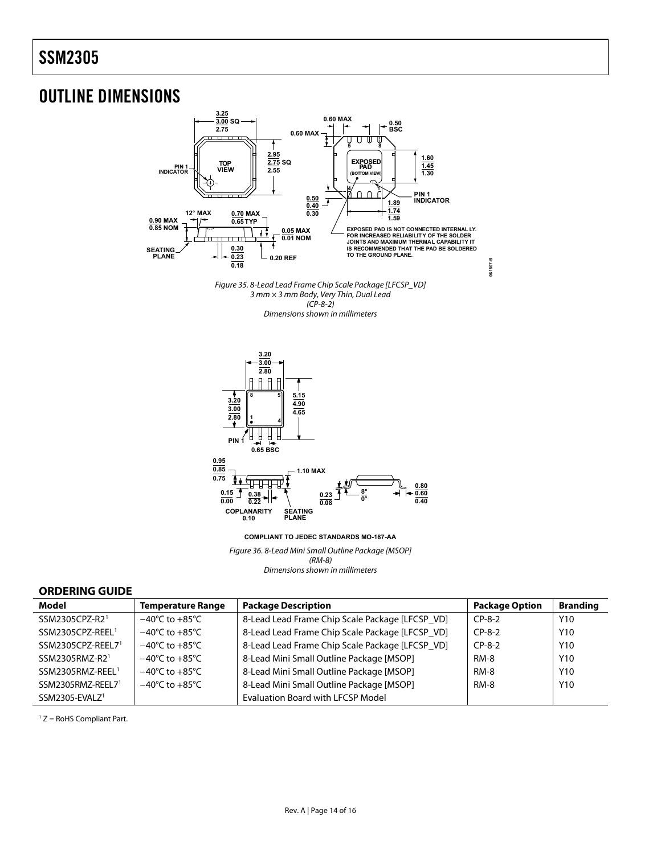### <span id="page-13-0"></span>OUTLINE DIMENSIONS







**COMPLIANT TO JEDEC STANDARDS MO-187-AA**

Figure 36. 8-Lead Mini Small Outline Package [MSOP] (RM-8) Dimensions shown in millimeters

#### **ORDERING GUIDE**

| Model                        | <b>Temperature Range</b>           | <b>Package Description</b>                      | <b>Package Option</b> | <b>Branding</b> |
|------------------------------|------------------------------------|-------------------------------------------------|-----------------------|-----------------|
| SSM2305CPZ-R2 <sup>1</sup>   | $-40^{\circ}$ C to $+85^{\circ}$ C | 8-Lead Lead Frame Chip Scale Package [LFCSP_VD] | $CP-8-2$              | Y <sub>10</sub> |
| SSM2305CPZ-REEL <sup>1</sup> | $-40^{\circ}$ C to $+85^{\circ}$ C | 8-Lead Lead Frame Chip Scale Package [LFCSP_VD] | $CP-8-2$              | Y <sub>10</sub> |
| SSM2305CPZ-REEL71            | $-40^{\circ}$ C to $+85^{\circ}$ C | 8-Lead Lead Frame Chip Scale Package [LFCSP_VD] | $CP-8-2$              | Y <sub>10</sub> |
| SSM2305RMZ-R21               | $-40^{\circ}$ C to $+85^{\circ}$ C | 8-Lead Mini Small Outline Package [MSOP]        | <b>RM-8</b>           | Y <sub>10</sub> |
| SSM2305RMZ-REEL <sup>1</sup> | $-40^{\circ}$ C to $+85^{\circ}$ C | 8-Lead Mini Small Outline Package [MSOP]        | <b>RM-8</b>           | Y <sub>10</sub> |
| SSM2305RMZ-REEL71            | $-40^{\circ}$ C to $+85^{\circ}$ C | 8-Lead Mini Small Outline Package [MSOP]        | <b>RM-8</b>           | Y <sub>10</sub> |
| SSM2305-EVALZ <sup>1</sup>   |                                    | <b>Evaluation Board with LFCSP Model</b>        |                       |                 |

1 Z = RoHS Compliant Part.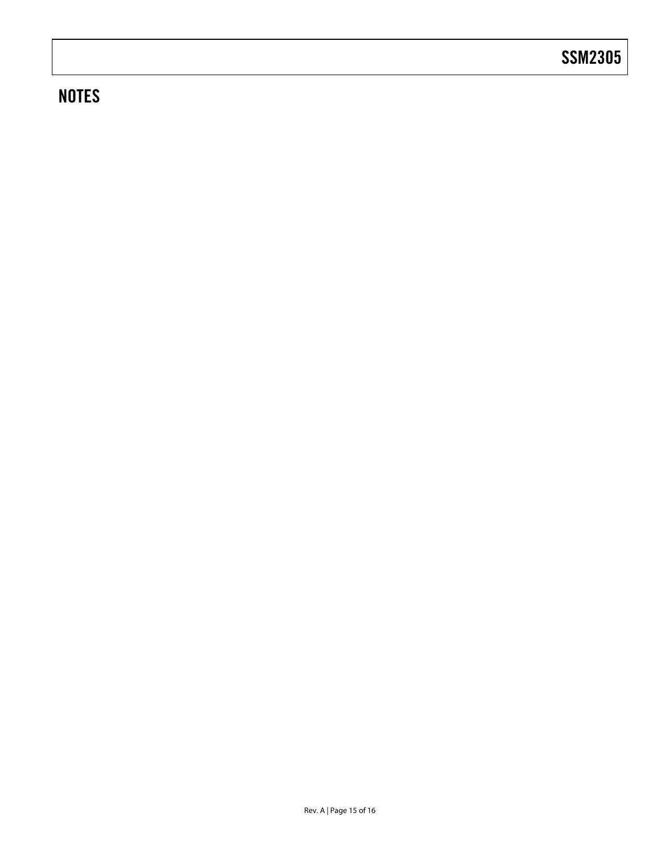# **NOTES**